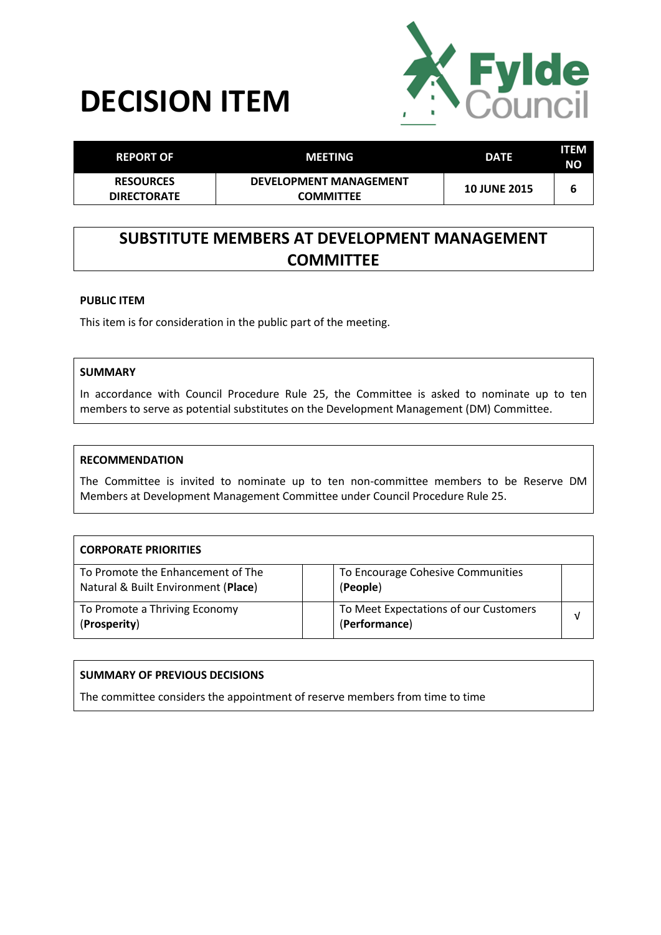



| <b>REPORT OF</b>                       | MEETING                                           | <b>DATE</b>         | ITEM<br><b>NO</b> |
|----------------------------------------|---------------------------------------------------|---------------------|-------------------|
| <b>RESOURCES</b><br><b>DIRECTORATE</b> | <b>DEVELOPMENT MANAGEMENT</b><br><b>COMMITTEE</b> | <b>10 JUNE 2015</b> | b                 |

# **SUBSTITUTE MEMBERS AT DEVELOPMENT MANAGEMENT COMMITTEE**

#### **PUBLIC ITEM**

This item is for consideration in the public part of the meeting.

### **SUMMARY**

In accordance with Council Procedure Rule 25, the Committee is asked to nominate up to ten members to serve as potential substitutes on the Development Management (DM) Committee.

#### **RECOMMENDATION**

The Committee is invited to nominate up to ten non-committee members to be Reserve DM Members at Development Management Committee under Council Procedure Rule 25.

| <b>CORPORATE PRIORITIES</b>                                              |                                                        |  |
|--------------------------------------------------------------------------|--------------------------------------------------------|--|
| To Promote the Enhancement of The<br>Natural & Built Environment (Place) | To Encourage Cohesive Communities<br>(People)          |  |
| To Promote a Thriving Economy<br>(Prosperity)                            | To Meet Expectations of our Customers<br>(Performance) |  |

## **SUMMARY OF PREVIOUS DECISIONS**

The committee considers the appointment of reserve members from time to time